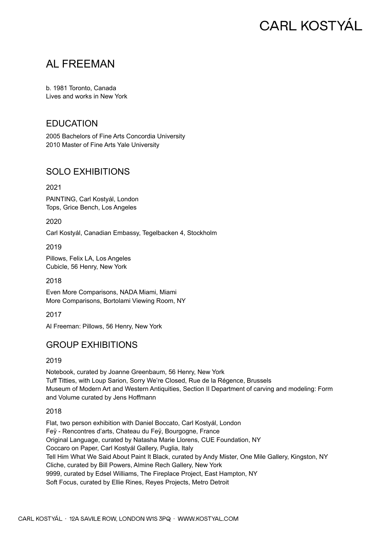# **CARL KOSTYÁL**

## AL FREEMAN

b. 1981 Toronto, Canada Lives and works in New York

## EDUCATION

2005 Bachelors of Fine Arts Concordia University 2010 Master of Fine Arts Yale University

## SOLO EXHIBITIONS

2021

PAINTING, Carl Kostyál, London Tops, Grice Bench, Los Angeles

2020

Carl Kostyál, Canadian Embassy, Tegelbacken 4, Stockholm

2019

Pillows, Felix LA, Los Angeles Cubicle, 56 Henry, New York

2018

Even More Comparisons, NADA Miami, Miami More Comparisons, Bortolami Viewing Room, NY

2017

Al Freeman: Pillows, 56 Henry, New York

## GROUP EXHIBITIONS

2019

Notebook, curated by Joanne Greenbaum, 56 Henry, New York Tuff Titties, with Loup Sarion, Sorry We're Closed, Rue de la Régence, Brussels Museum of Modern Art and Western Antiquities, Section II Department of carving and modeling: Form and Volume curated by Jens Hoffmann

2018

Flat, two person exhibition with Daniel Boccato, Carl Kostyál, London Feÿ - Rencontres d'arts, Chateau du Feÿ, Bourgogne, France Original Language, curated by Natasha Marie Llorens, CUE Foundation, NY Coccaro on Paper, Carl Kostyál Gallery, Puglia, Italy Tell Him What We Said About Paint It Black, curated by Andy Mister, One Mile Gallery, Kingston, NY Cliche, curated by Bill Powers, Almine Rech Gallery, New York 9999, curated by Edsel Williams, The Fireplace Project, East Hampton, NY Soft Focus, curated by Ellie Rines, Reyes Projects, Metro Detroit